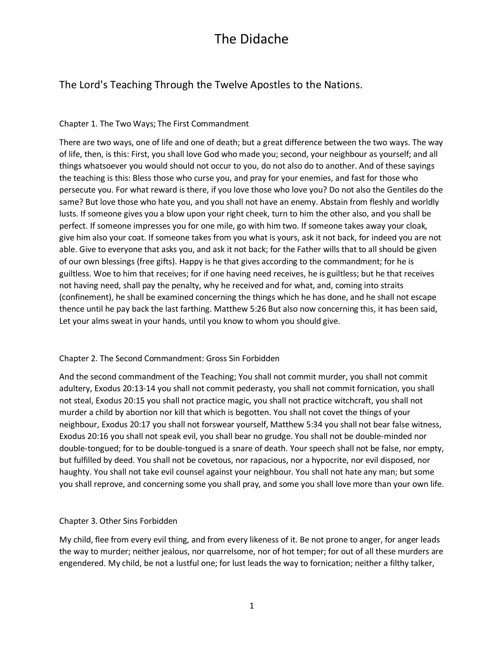## The Lord's Teaching Through the Twelve Apostles to the Nations.

### Chapter 1. The Two Ways; The First Commandment

There are two ways, one of life and one of death; but a great difference between the two ways. The way of life, then, is this: First, you shall love God who made you; second, your neighbour as yourself; and all things whatsoever you would should not occur to you, do not also do to another. And of these sayings the teaching is this: Bless those who curse you, and pray for your enemies, and fast for those who persecute you. For what reward is there, if you love those who love you? Do not also the Gentiles do the same? But love those who hate you, and you shall not have an enemy. Abstain from fleshly and worldly lusts. If someone gives you a blow upon your right cheek, turn to him the other also, and you shall be perfect. If someone impresses you for one mile, go with him two. If someone takes away your cloak, give him also your coat. If someone takes from you what is yours, ask it not back, for indeed you are not able. Give to everyone that asks you, and ask it not back; for the Father wills that to all should be given of our own blessings (free gifts). Happy is he that gives according to the commandment; for he is guiltless. Woe to him that receives; for if one having need receives, he is guiltless; but he that receives not having need, shall pay the penalty, why he received and for what, and, coming into straits (confinement), he shall be examined concerning the things which he has done, and he shall not escape thence until he pay back the last farthing. Matthew 5:26 But also now concerning this, it has been said, Let your alms sweat in your hands, until you know to whom you should give.

### Chapter 2. The Second Commandment: Gross Sin Forbidden

And the second commandment of the Teaching; You shall not commit murder, you shall not commit adultery, Exodus 20:13-14 you shall not commit pederasty, you shall not commit fornication, you shall not steal, Exodus 20:15 you shall not practice magic, you shall not practice witchcraft, you shall not murder a child by abortion nor kill that which is begotten. You shall not covet the things of your neighbour, Exodus 20:17 you shall not forswear yourself, Matthew 5:34 you shall not bear false witness, Exodus 20:16 you shall not speak evil, you shall bear no grudge. You shall not be double-minded nor double-tongued; for to be double-tongued is a snare of death. Your speech shall not be false, nor empty, but fulfilled by deed. You shall not be covetous, nor rapacious, nor a hypocrite, nor evil disposed, nor haughty. You shall not take evil counsel against your neighbour. You shall not hate any man; but some you shall reprove, and concerning some you shall pray, and some you shall love more than your own life.

### Chapter 3. Other Sins Forbidden

My child, flee from every evil thing, and from every likeness of it. Be not prone to anger, for anger leads the way to murder; neither jealous, nor quarrelsome, nor of hot temper; for out of all these murders are engendered. My child, be not a lustful one; for lust leads the way to fornication; neither a filthy talker,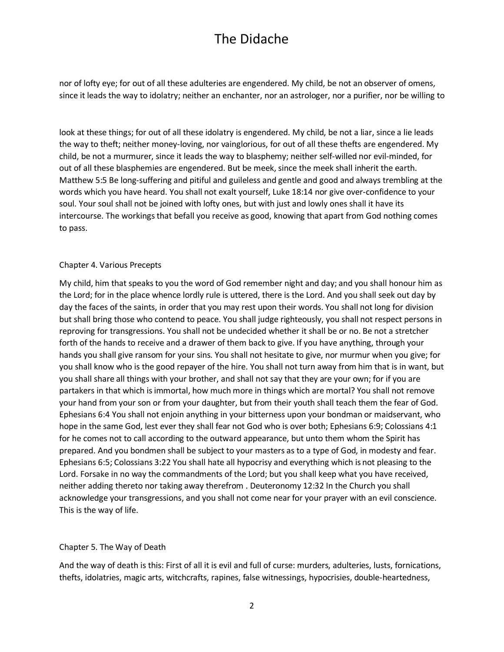nor of lofty eye; for out of all these adulteries are engendered. My child, be not an observer of omens, since it leads the way to idolatry; neither an enchanter, nor an astrologer, nor a purifier, nor be willing to

look at these things; for out of all these idolatry is engendered. My child, be not a liar, since a lie leads the way to theft; neither money-loving, nor vainglorious, for out of all these thefts are engendered. My child, be not a murmurer, since it leads the way to blasphemy; neither self-willed nor evil-minded, for out of all these blasphemies are engendered. But be meek, since the meek shall inherit the earth. Matthew 5:5 Be long-suffering and pitiful and guileless and gentle and good and always trembling at the words which you have heard. You shall not exalt yourself, Luke 18:14 nor give over-confidence to your soul. Your soul shall not be joined with lofty ones, but with just and lowly ones shall it have its intercourse. The workings that befall you receive as good, knowing that apart from God nothing comes to pass.

#### Chapter 4. Various Precepts

My child, him that speaks to you the word of God remember night and day; and you shall honour him as the Lord; for in the place whence lordly rule is uttered, there is the Lord. And you shall seek out day by day the faces of the saints, in order that you may rest upon their words. You shall not long for division but shall bring those who contend to peace. You shall judge righteously, you shall not respect persons in reproving for transgressions. You shall not be undecided whether it shall be or no. Be not a stretcher forth of the hands to receive and a drawer of them back to give. If you have anything, through your hands you shall give ransom for your sins. You shall not hesitate to give, nor murmur when you give; for you shall know who is the good repayer of the hire. You shall not turn away from him that is in want, but you shall share all things with your brother, and shall not say that they are your own; for if you are partakers in that which is immortal, how much more in things which are mortal? You shall not remove your hand from your son or from your daughter, but from their youth shall teach them the fear of God. Ephesians 6:4 You shall not enjoin anything in your bitterness upon your bondman or maidservant, who hope in the same God, lest ever they shall fear not God who is over both; Ephesians 6:9; Colossians 4:1 for he comes not to call according to the outward appearance, but unto them whom the Spirit has prepared. And you bondmen shall be subject to your masters as to a type of God, in modesty and fear. Ephesians 6:5; Colossians 3:22 You shall hate all hypocrisy and everything which is not pleasing to the Lord. Forsake in no way the commandments of the Lord; but you shall keep what you have received, neither adding thereto nor taking away therefrom . Deuteronomy 12:32 In the Church you shall acknowledge your transgressions, and you shall not come near for your prayer with an evil conscience. This is the way of life.

#### Chapter 5. The Way of Death

And the way of death is this: First of all it is evil and full of curse: murders, adulteries, lusts, fornications, thefts, idolatries, magic arts, witchcrafts, rapines, false witnessings, hypocrisies, double-heartedness,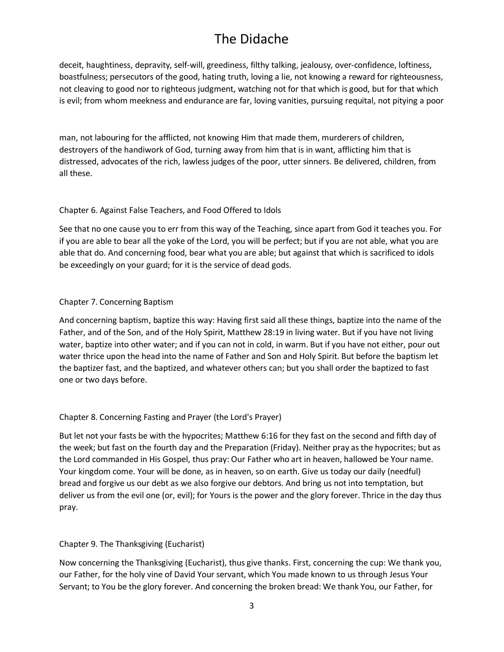deceit, haughtiness, depravity, self-will, greediness, filthy talking, jealousy, over-confidence, loftiness, boastfulness; persecutors of the good, hating truth, loving a lie, not knowing a reward for righteousness, not cleaving to good nor to righteous judgment, watching not for that which is good, but for that which is evil; from whom meekness and endurance are far, loving vanities, pursuing requital, not pitying a poor

man, not labouring for the afflicted, not knowing Him that made them, murderers of children, destroyers of the handiwork of God, turning away from him that is in want, afflicting him that is distressed, advocates of the rich, lawless judges of the poor, utter sinners. Be delivered, children, from all these.

### Chapter 6. Against False Teachers, and Food Offered to Idols

See that no one cause you to err from this way of the Teaching, since apart from God it teaches you. For if you are able to bear all the yoke of the Lord, you will be perfect; but if you are not able, what you are able that do. And concerning food, bear what you are able; but against that which is sacrificed to idols be exceedingly on your guard; for it is the service of dead gods.

### Chapter 7. Concerning Baptism

And concerning baptism, baptize this way: Having first said all these things, baptize into the name of the Father, and of the Son, and of the Holy Spirit, Matthew 28:19 in living water. But if you have not living water, baptize into other water; and if you can not in cold, in warm. But if you have not either, pour out water thrice upon the head into the name of Father and Son and Holy Spirit. But before the baptism let the baptizer fast, and the baptized, and whatever others can; but you shall order the baptized to fast one or two days before.

### Chapter 8. Concerning Fasting and Prayer (the Lord's Prayer)

But let not your fasts be with the hypocrites; Matthew 6:16 for they fast on the second and fifth day of the week; but fast on the fourth day and the Preparation (Friday). Neither pray as the hypocrites; but as the Lord commanded in His Gospel, thus pray: Our Father who art in heaven, hallowed be Your name. Your kingdom come. Your will be done, as in heaven, so on earth. Give us today our daily (needful) bread and forgive us our debt as we also forgive our debtors. And bring us not into temptation, but deliver us from the evil one (or, evil); for Yours is the power and the glory forever. Thrice in the day thus pray.

### Chapter 9. The Thanksgiving (Eucharist)

Now concerning the Thanksgiving (Eucharist), thus give thanks. First, concerning the cup: We thank you, our Father, for the holy vine of David Your servant, which You made known to us through Jesus Your Servant; to You be the glory forever. And concerning the broken bread: We thank You, our Father, for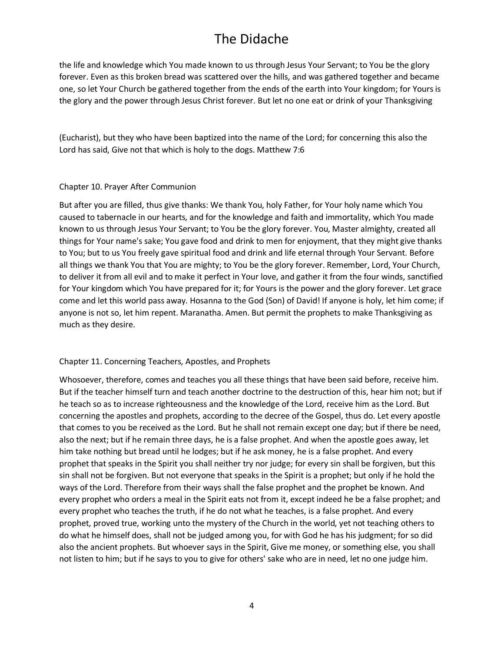the life and knowledge which You made known to us through Jesus Your Servant; to You be the glory forever. Even as this broken bread was scattered over the hills, and was gathered together and became one, so let Your Church be gathered together from the ends of the earth into Your kingdom; for Yours is the glory and the power through Jesus Christ forever. But let no one eat or drink of your Thanksgiving

(Eucharist), but they who have been baptized into the name of the Lord; for concerning this also the Lord has said, Give not that which is holy to the dogs. Matthew 7:6

#### Chapter 10. Prayer After Communion

But after you are filled, thus give thanks: We thank You, holy Father, for Your holy name which You caused to tabernacle in our hearts, and for the knowledge and faith and immortality, which You made known to us through Jesus Your Servant; to You be the glory forever. You, Master almighty, created all things for Your name's sake; You gave food and drink to men for enjoyment, that they might give thanks to You; but to us You freely gave spiritual food and drink and life eternal through Your Servant. Before all things we thank You that You are mighty; to You be the glory forever. Remember, Lord, Your Church, to deliver it from all evil and to make it perfect in Your love, and gather it from the four winds, sanctified for Your kingdom which You have prepared for it; for Yours is the power and the glory forever. Let grace come and let this world pass away. Hosanna to the God (Son) of David! If anyone is holy, let him come; if anyone is not so, let him repent. Maranatha. Amen. But permit the prophets to make Thanksgiving as much as they desire.

### Chapter 11. Concerning Teachers, Apostles, and Prophets

Whosoever, therefore, comes and teaches you all these things that have been said before, receive him. But if the teacher himself turn and teach another doctrine to the destruction of this, hear him not; but if he teach so as to increase righteousness and the knowledge of the Lord, receive him as the Lord. But concerning the apostles and prophets, according to the decree of the Gospel, thus do. Let every apostle that comes to you be received as the Lord. But he shall not remain except one day; but if there be need, also the next; but if he remain three days, he is a false prophet. And when the apostle goes away, let him take nothing but bread until he lodges; but if he ask money, he is a false prophet. And every prophet that speaks in the Spirit you shall neither try nor judge; for every sin shall be forgiven, but this sin shall not be forgiven. But not everyone that speaks in the Spirit is a prophet; but only if he hold the ways of the Lord. Therefore from their ways shall the false prophet and the prophet be known. And every prophet who orders a meal in the Spirit eats not from it, except indeed he be a false prophet; and every prophet who teaches the truth, if he do not what he teaches, is a false prophet. And every prophet, proved true, working unto the mystery of the Church in the world, yet not teaching others to do what he himself does, shall not be judged among you, for with God he has his judgment; for so did also the ancient prophets. But whoever says in the Spirit, Give me money, or something else, you shall not listen to him; but if he says to you to give for others' sake who are in need, let no one judge him.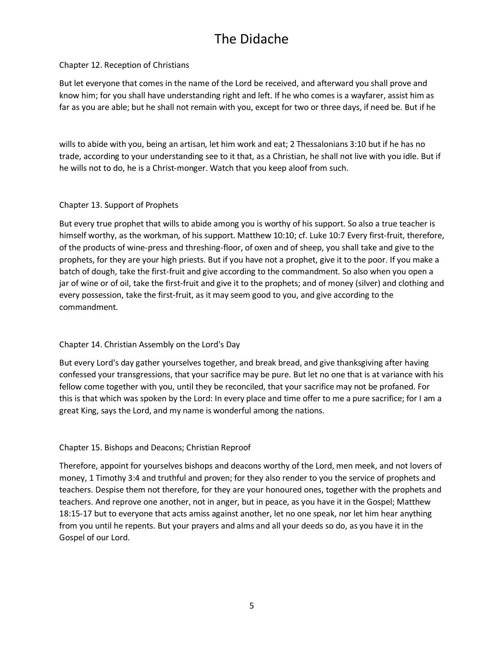### Chapter 12. Reception of Christians

But let everyone that comes in the name of the Lord be received, and afterward you shall prove and know him; for you shall have understanding right and left. If he who comes is a wayfarer, assist him as far as you are able; but he shall not remain with you, except for two or three days, if need be. But if he

wills to abide with you, being an artisan, let him work and eat; 2 Thessalonians 3:10 but if he has no trade, according to your understanding see to it that, as a Christian, he shall not live with you idle. But if he wills not to do, he is a Christ-monger. Watch that you keep aloof from such.

### Chapter 13. Support of Prophets

But every true prophet that wills to abide among you is worthy of his support. So also a true teacher is himself worthy, as the workman, of his support. Matthew 10:10; cf. Luke 10:7 Every first-fruit, therefore, of the products of wine-press and threshing-floor, of oxen and of sheep, you shall take and give to the prophets, for they are your high priests. But if you have not a prophet, give it to the poor. If you make a batch of dough, take the first-fruit and give according to the commandment. So also when you open a jar of wine or of oil, take the first-fruit and give it to the prophets; and of money (silver) and clothing and every possession, take the first-fruit, as it may seem good to you, and give according to the commandment.

## Chapter 14. Christian Assembly on the Lord's Day

But every Lord's day gather yourselves together, and break bread, and give thanksgiving after having confessed your transgressions, that your sacrifice may be pure. But let no one that is at variance with his fellow come together with you, until they be reconciled, that your sacrifice may not be profaned. For this is that which was spoken by the Lord: In every place and time offer to me a pure sacrifice; for I am a great King, says the Lord, and my name is wonderful among the nations.

### Chapter 15. Bishops and Deacons; Christian Reproof

Therefore, appoint for yourselves bishops and deacons worthy of the Lord, men meek, and not lovers of money, 1 Timothy 3:4 and truthful and proven; for they also render to you the service of prophets and teachers. Despise them not therefore, for they are your honoured ones, together with the prophets and teachers. And reprove one another, not in anger, but in peace, as you have it in the Gospel; Matthew 18:15-17 but to everyone that acts amiss against another, let no one speak, nor let him hear anything from you until he repents. But your prayers and alms and all your deeds so do, as you have it in the Gospel of our Lord.